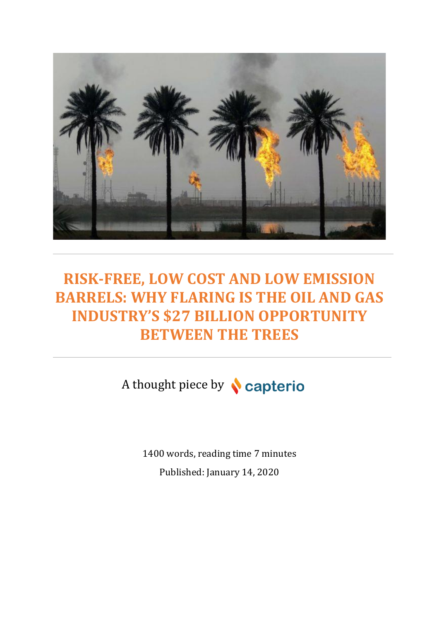

# **RISK-FREE, LOW COST AND LOW EMISSION BARRELS: WHY FLARING IS THE OIL AND GAS INDUSTRY'S \$27 BILLION OPPORTUNITY BETWEEN THE TREES**

A thought piece by **Capterio** 

1400 words, reading time 7 minutes Published: January 14, 2020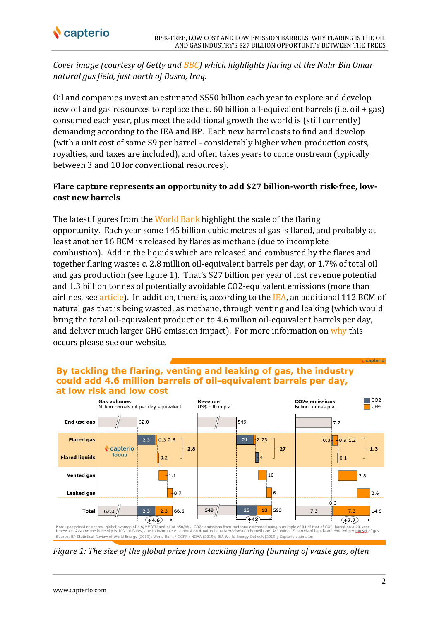

*Cover image (courtesy of Getty and [BBC\)](https://www.bbc.co.uk/news/business-50979492) which highlights flaring at the Nahr Bin Omar natural gas field, just north of Basra, Iraq.*

Oil and companies invest an estimated \$550 billion each year to explore and develop new oil and gas resources to replace the c. 60 billion oil-equivalent barrels (i.e. oil + gas) consumed each year, plus meet the additional growth the world is (still currently) demanding according to the IEA and BP. Each new barrel costs to find and develop (with a unit cost of some \$9 per barrel - considerably higher when production costs, royalties, and taxes are included), and often takes years to come onstream (typically between 3 and 10 for conventional resources).

## **Flare capture represents an opportunity to add \$27 billion-worth risk-free, lowcost new barrels**

The latest figures from the [World Bank](https://www.worldbank.org/en/programs/gasflaringreduction) highlight the scale of the flaring opportunity. Each year some 145 billion cubic metres of gas is flared, and probably at least another 16 BCM is released by flares as methane (due to incomplete combustion). Add in the liquids which are released and combusted by the flares and together flaring wastes c. 2.8 million oil-equivalent barrels per day, or 1.7% of total oil and gas production (see figure 1). That's \$27 billion per year of lost revenue potential and 1.3 billion tonnes of potentially avoidable CO2-equivalent emissions (more than airlines, see [article\)](https://www.capterio.com/news-1/2019/10/4/flarings-billion-tonne-methane-secret-an-under-estimated-opportunity-for-decarbonization-and-revenue-generation-in-oil-amp-gas-a-thought-piece-by-capterio). In addition, there is, according to the [IEA,](https://www.iea.org/reports/methane-tracker) an additional 112 BCM of natural gas that is being wasted, as methane, through venting and leaking (which would bring the total oil-equivalent production to 4.6 million oil-equivalent barrels per day, and deliver much larger GHG emission impact). For more information o[n why](https://www.capterio.com/the-challenge) this occurs please see our website.

#### By tackling the flaring, venting and leaking of gas, the industry could add 4.6 million barrels of oil-equivalent barrels per day, at low risk and low cost



*Figure 1: The size of the global prize from tackling flaring (burning of waste gas, often* 

capterio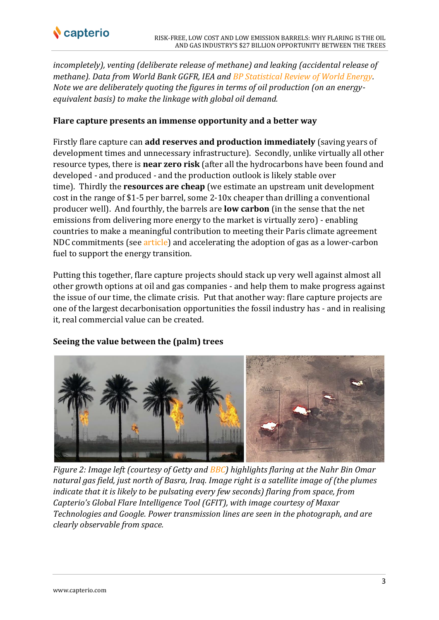

*incompletely), venting (deliberate release of methane) and leaking (accidental release of methane). Data from World Bank GGFR, IEA and [BP Statistical Review of World Energy.](https://www.bp.com/en/global/corporate/energy-economics/statistical-review-of-world-energy.html) Note we are deliberately quoting the figures in terms of oil production (on an energyequivalent basis) to make the linkage with global oil demand.*

## **Flare capture presents an immense opportunity and a better way**

Firstly flare capture can **add reserves and production immediately** (saving years of development times and unnecessary infrastructure). Secondly, unlike virtually all other resource types, there is **near zero risk** (after all the hydrocarbons have been found and developed - and produced - and the production outlook is likely stable over time). Thirdly the **resources are cheap** (we estimate an upstream unit development cost in the range of \$1-5 per barrel, some 2-10x cheaper than drilling a conventional producer well). And fourthly, the barrels are **low carbon** (in the sense that the net emissions from delivering more energy to the market is virtually zero) - enabling countries to make a meaningful contribution to meeting their Paris climate agreement NDC commitments (see [article\)](https://www.capterio.com/news-1/2019/12/17/by-tackling-flaring-oil-producing-countries-can-meet-a-substantial-portion-of-their-paris-climate-agreement-commitments) and accelerating the adoption of gas as a lower-carbon fuel to support the energy transition.

Putting this together, flare capture projects should stack up very well against almost all other growth options at oil and gas companies - and help them to make progress against the issue of our time, the climate crisis. Put that another way: flare capture projects are one of the largest decarbonisation opportunities the fossil industry has - and in realising it, real commercial value can be created.

## **Seeing the value between the (palm) trees**



*Figure 2: Image left (courtesy of Getty and [BBC\)](https://www.bbc.co.uk/news/business-50979492) highlights flaring at the Nahr Bin Omar natural gas field, just north of Basra, Iraq. Image right is a satellite image of (the plumes indicate that it is likely to be pulsating every few seconds) flaring from space, from Capterio's Global Flare Intelligence Tool (GFIT), with image courtesy of Maxar Technologies and Google. Power transmission lines are seen in the photograph, and are clearly observable from space.*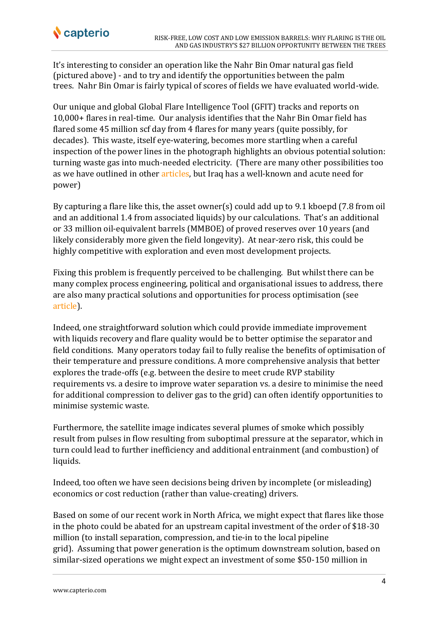It's interesting to consider an operation like the Nahr Bin Omar natural gas field (pictured above) - and to try and identify the opportunities between the palm trees. Nahr Bin Omar is fairly typical of scores of fields we have evaluated world-wide.

Our unique and global Global Flare Intelligence Tool (GFIT) tracks and reports on 10,000+ flares in real-time. Our analysis identifies that the Nahr Bin Omar field has flared some 45 million scf day from 4 flares for many years (quite possibly, for decades). This waste, itself eye-watering, becomes more startling when a careful inspection of the power lines in the photograph highlights an obvious potential solution: turning waste gas into much-needed electricity. (There are many other possibilities too as we have outlined in other [articles,](https://www.capterio.com/news-1/2019/10/31/capterio-presents-at-the-efi-gas-flare-monetization-and-syngas-conversion-forum-on-monetising-flared-gas-through-new-applications-of-proven-technologies) but Iraq has a well-known and acute need for power)

By capturing a flare like this, the asset owner(s) could add up to 9.1 kboepd (7.8 from oil and an additional 1.4 from associated liquids) by our calculations. That's an additional or 33 million oil-equivalent barrels (MMBOE) of proved reserves over 10 years (and likely considerably more given the field longevity). At near-zero risk, this could be highly competitive with exploration and even most development projects.

Fixing this problem is frequently perceived to be challenging. But whilst there can be many complex process engineering, political and organisational issues to address, there are also many practical solutions and opportunities for process optimisation (see [article\)](https://www.capterio.com/news-1/2019/10/11/from-talk-on-decarbonising-gas-to-actually-delivering-solutions-our-reflections-from-oil-and-money-a-thought-piece-by-capterio).

Indeed, one straightforward solution which could provide immediate improvement with liquids recovery and flare quality would be to better optimise the separator and field conditions. Many operators today fail to fully realise the benefits of optimisation of their temperature and pressure conditions. A more comprehensive analysis that better explores the trade-offs (e.g. between the desire to meet crude RVP stability requirements vs. a desire to improve water separation vs. a desire to minimise the need for additional compression to deliver gas to the grid) can often identify opportunities to minimise systemic waste.

Furthermore, the satellite image indicates several plumes of smoke which possibly result from pulses in flow resulting from suboptimal pressure at the separator, which in turn could lead to further inefficiency and additional entrainment (and combustion) of liquids.

Indeed, too often we have seen decisions being driven by incomplete (or misleading) economics or cost reduction (rather than value-creating) drivers.

Based on some of our recent work in North Africa, we might expect that flares like those in the photo could be abated for an upstream capital investment of the order of \$18-30 million (to install separation, compression, and tie-in to the local pipeline grid). Assuming that power generation is the optimum downstream solution, based on similar-sized operations we might expect an investment of some \$50-150 million in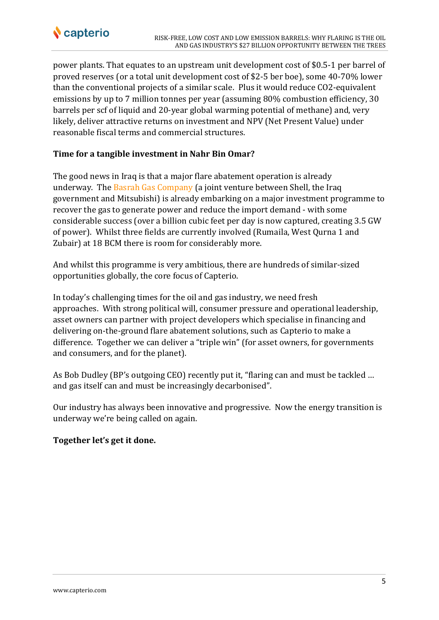

power plants. That equates to an upstream unit development cost of \$0.5-1 per barrel of proved reserves (or a total unit development cost of \$2-5 ber boe), some 40-70% lower than the conventional projects of a similar scale. Plus it would reduce CO2-equivalent emissions by up to 7 million tonnes per year (assuming 80% combustion efficiency, 30 barrels per scf of liquid and 20-year global warming potential of methane) and, very likely, deliver attractive returns on investment and NPV (Net Present Value) under reasonable fiscal terms and commercial structures.

## **Time for a tangible investment in Nahr Bin Omar?**

The good news in Iraq is that a major flare abatement operation is already underway. The [Basrah Gas Company](https://www.basrahgas.com/) (a joint venture between Shell, the Iraq government and Mitsubishi) is already embarking on a major investment programme to recover the gas to generate power and reduce the import demand - with some considerable success (over a billion cubic feet per day is now captured, creating 3.5 GW of power). Whilst three fields are currently involved (Rumaila, West Qurna 1 and Zubair) at 18 BCM there is room for considerably more.

And whilst this programme is very ambitious, there are hundreds of similar-sized opportunities globally, the core focus of Capterio.

In today's challenging times for the oil and gas industry, we need fresh approaches. With strong political will, consumer pressure and operational leadership, asset owners can partner with project developers which specialise in financing and delivering on-the-ground flare abatement solutions, such as Capterio to make a difference. Together we can deliver a "triple win" (for asset owners, for governments and consumers, and for the planet).

As Bob Dudley (BP's outgoing CEO) recently put it, "flaring can and must be tackled … and gas itself can and must be increasingly decarbonised".

Our industry has always been innovative and progressive. Now the energy transition is underway we're being called on again.

#### **Together let's get it done.**